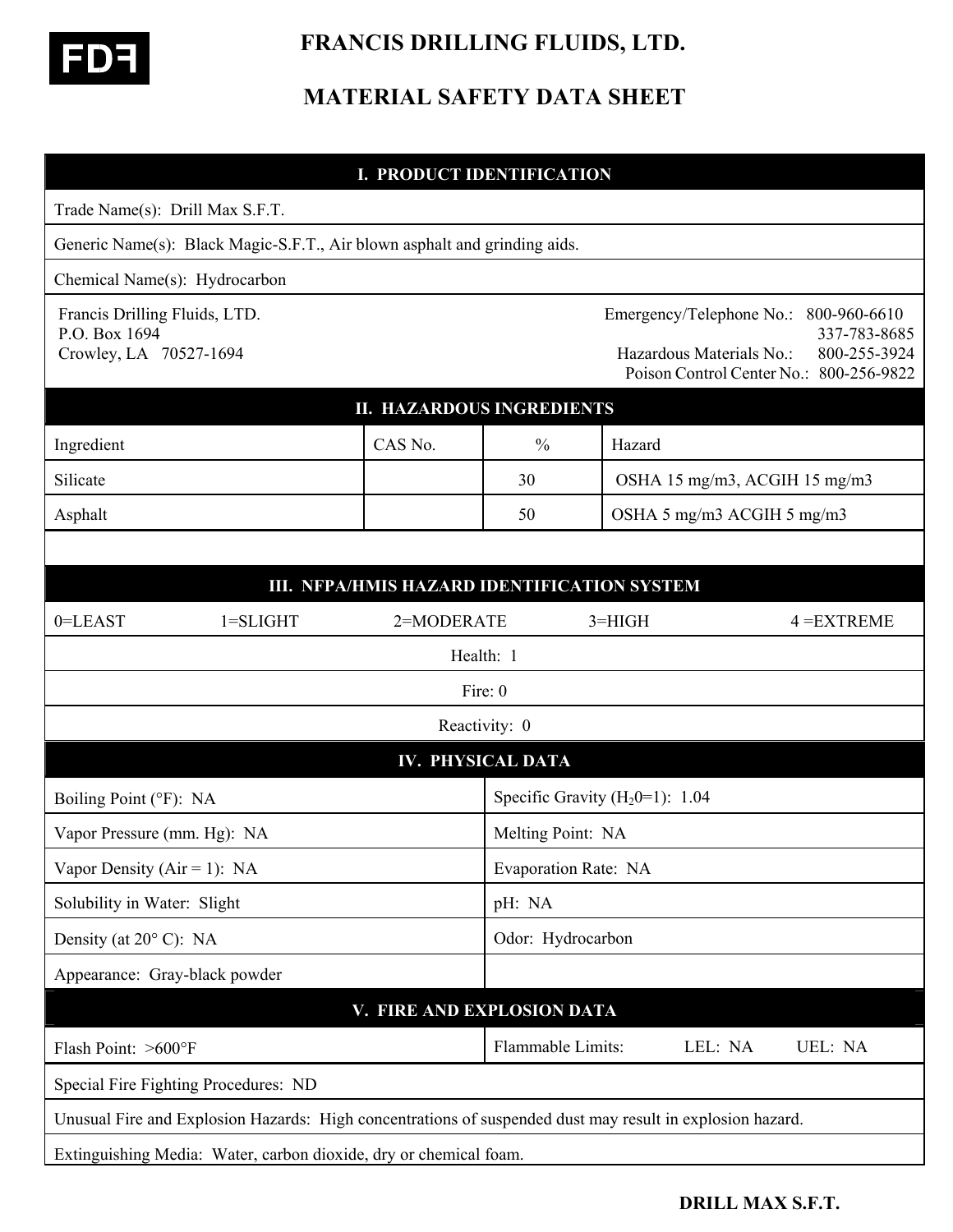

 **FRANCIS DRILLING FLUIDS, LTD.** 

# **MATERIAL SAFETY DATA SHEET**

## **I. PRODUCT IDENTIFICATION**

| Trade Name(s): Drill Max S.F.T.                                                                           |                      |                                    |                                                      |                               |                                                                                         |
|-----------------------------------------------------------------------------------------------------------|----------------------|------------------------------------|------------------------------------------------------|-------------------------------|-----------------------------------------------------------------------------------------|
| Generic Name(s): Black Magic-S.F.T., Air blown asphalt and grinding aids.                                 |                      |                                    |                                                      |                               |                                                                                         |
| Chemical Name(s): Hydrocarbon                                                                             |                      |                                    |                                                      |                               |                                                                                         |
| Francis Drilling Fluids, LTD.<br>P.O. Box 1694<br>Crowley, LA 70527-1694                                  |                      |                                    | Emergency/Telephone No.:<br>Hazardous Materials No.: |                               | 800-960-6610<br>337-783-8685<br>800-255-3924<br>Poison Control Center No.: 800-256-9822 |
| <b>II. HAZARDOUS INGREDIENTS</b>                                                                          |                      |                                    |                                                      |                               |                                                                                         |
| Ingredient                                                                                                | CAS No.              | $\frac{0}{0}$                      | Hazard                                               |                               |                                                                                         |
| Silicate                                                                                                  |                      | 30                                 |                                                      | OSHA 15 mg/m3, ACGIH 15 mg/m3 |                                                                                         |
| Asphalt                                                                                                   |                      | 50                                 | OSHA 5 mg/m3 ACGIH 5 mg/m3                           |                               |                                                                                         |
|                                                                                                           |                      |                                    |                                                      |                               |                                                                                         |
| III. NFPA/HMIS HAZARD IDENTIFICATION SYSTEM                                                               |                      |                                    |                                                      |                               |                                                                                         |
| $0 = LEAST$<br>$1 = SLIGHT$                                                                               | 2=MODERATE           |                                    | $3=HIGH$                                             |                               | $4 = EXTREME$                                                                           |
| Health: 1                                                                                                 |                      |                                    |                                                      |                               |                                                                                         |
| Fire: 0                                                                                                   |                      |                                    |                                                      |                               |                                                                                         |
| Reactivity: 0                                                                                             |                      |                                    |                                                      |                               |                                                                                         |
| <b>IV. PHYSICAL DATA</b>                                                                                  |                      |                                    |                                                      |                               |                                                                                         |
| Boiling Point (°F): NA                                                                                    |                      | Specific Gravity $(H_20=1)$ : 1.04 |                                                      |                               |                                                                                         |
| Vapor Pressure (mm. Hg): NA                                                                               |                      | Melting Point: NA                  |                                                      |                               |                                                                                         |
| Vapor Density ( $Air = 1$ ): NA                                                                           | Evaporation Rate: NA |                                    |                                                      |                               |                                                                                         |
| Solubility in Water: Slight                                                                               |                      | pH: NA                             |                                                      |                               |                                                                                         |
| Density (at $20^{\circ}$ C): NA                                                                           |                      | Odor: Hydrocarbon                  |                                                      |                               |                                                                                         |
| Appearance: Gray-black powder                                                                             |                      |                                    |                                                      |                               |                                                                                         |
| V. FIRE AND EXPLOSION DATA                                                                                |                      |                                    |                                                      |                               |                                                                                         |
| Flash Point: >600°F                                                                                       |                      | Flammable Limits:                  |                                                      | LEL: NA                       | UEL: NA                                                                                 |
| Special Fire Fighting Procedures: ND                                                                      |                      |                                    |                                                      |                               |                                                                                         |
| Unusual Fire and Explosion Hazards: High concentrations of suspended dust may result in explosion hazard. |                      |                                    |                                                      |                               |                                                                                         |
| Extinguishing Media: Water, carbon dioxide, dry or chemical foam.                                         |                      |                                    |                                                      |                               |                                                                                         |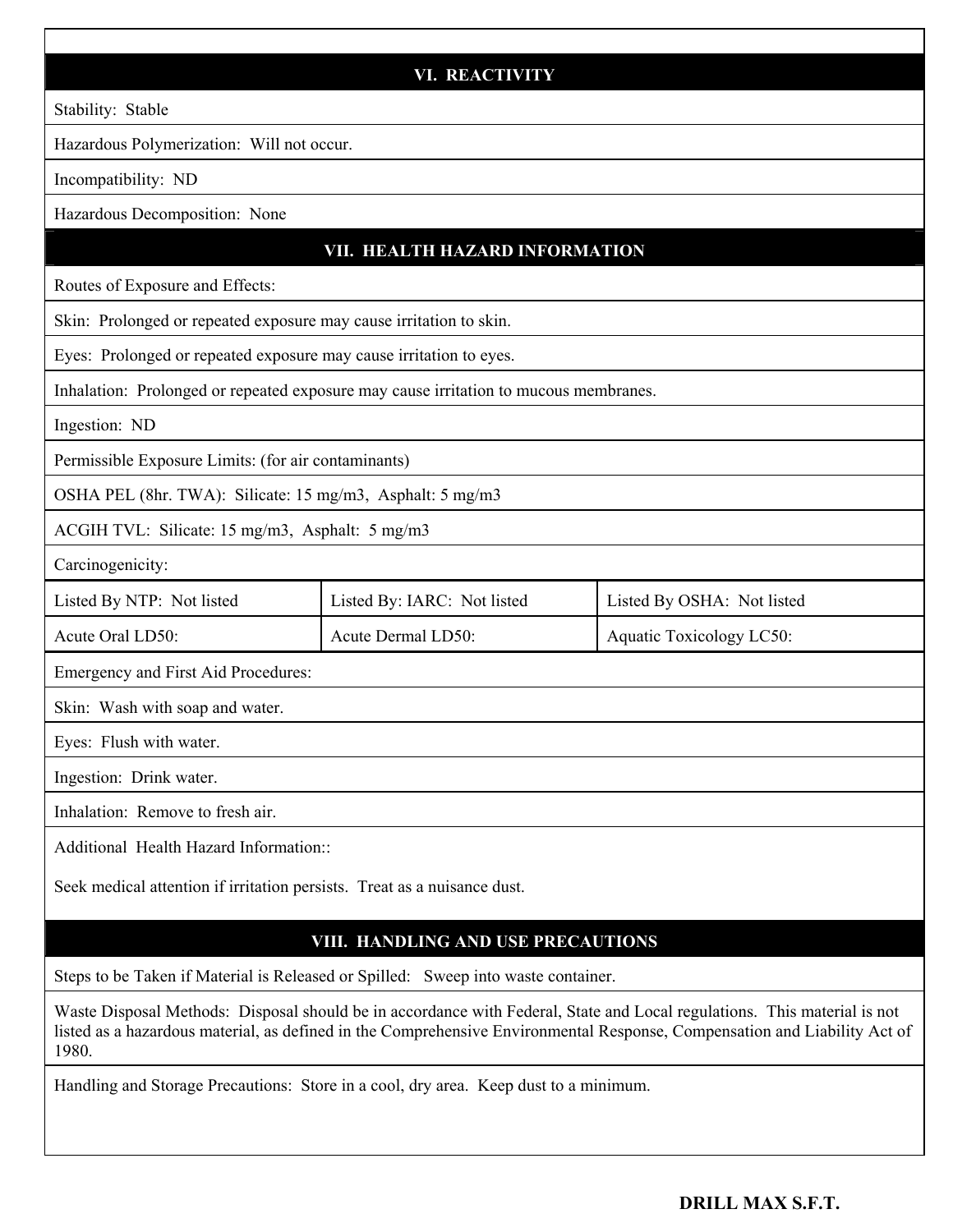#### **VI. REACTIVITY**

Stability: Stable

Hazardous Polymerization: Will not occur.

Incompatibility: ND

Hazardous Decomposition: None

### **VII. HEALTH HAZARD INFORMATION**

Routes of Exposure and Effects:

Skin: Prolonged or repeated exposure may cause irritation to skin.

Eyes: Prolonged or repeated exposure may cause irritation to eyes.

Inhalation: Prolonged or repeated exposure may cause irritation to mucous membranes.

Ingestion: ND

Permissible Exposure Limits: (for air contaminants)

OSHA PEL (8hr. TWA): Silicate: 15 mg/m3, Asphalt: 5 mg/m3

ACGIH TVL: Silicate: 15 mg/m3, Asphalt: 5 mg/m3

Carcinogenicity:

| Listed By NTP: Not listed | Listed By: IARC: Not listed | Listed By OSHA: Not listed |
|---------------------------|-----------------------------|----------------------------|
| Acute Oral LD50:          | Acute Dermal LD50:          | Aquatic Toxicology LC50:   |

Emergency and First Aid Procedures:

Skin: Wash with soap and water.

Eyes: Flush with water.

Ingestion: Drink water.

Inhalation: Remove to fresh air.

Additional Health Hazard Information::

Seek medical attention if irritation persists. Treat as a nuisance dust.

# **VIII. HANDLING AND USE PRECAUTIONS**

Steps to be Taken if Material is Released or Spilled: Sweep into waste container.

Waste Disposal Methods: Disposal should be in accordance with Federal, State and Local regulations. This material is not listed as a hazardous material, as defined in the Comprehensive Environmental Response, Compensation and Liability Act of 1980.

Handling and Storage Precautions: Store in a cool, dry area. Keep dust to a minimum.